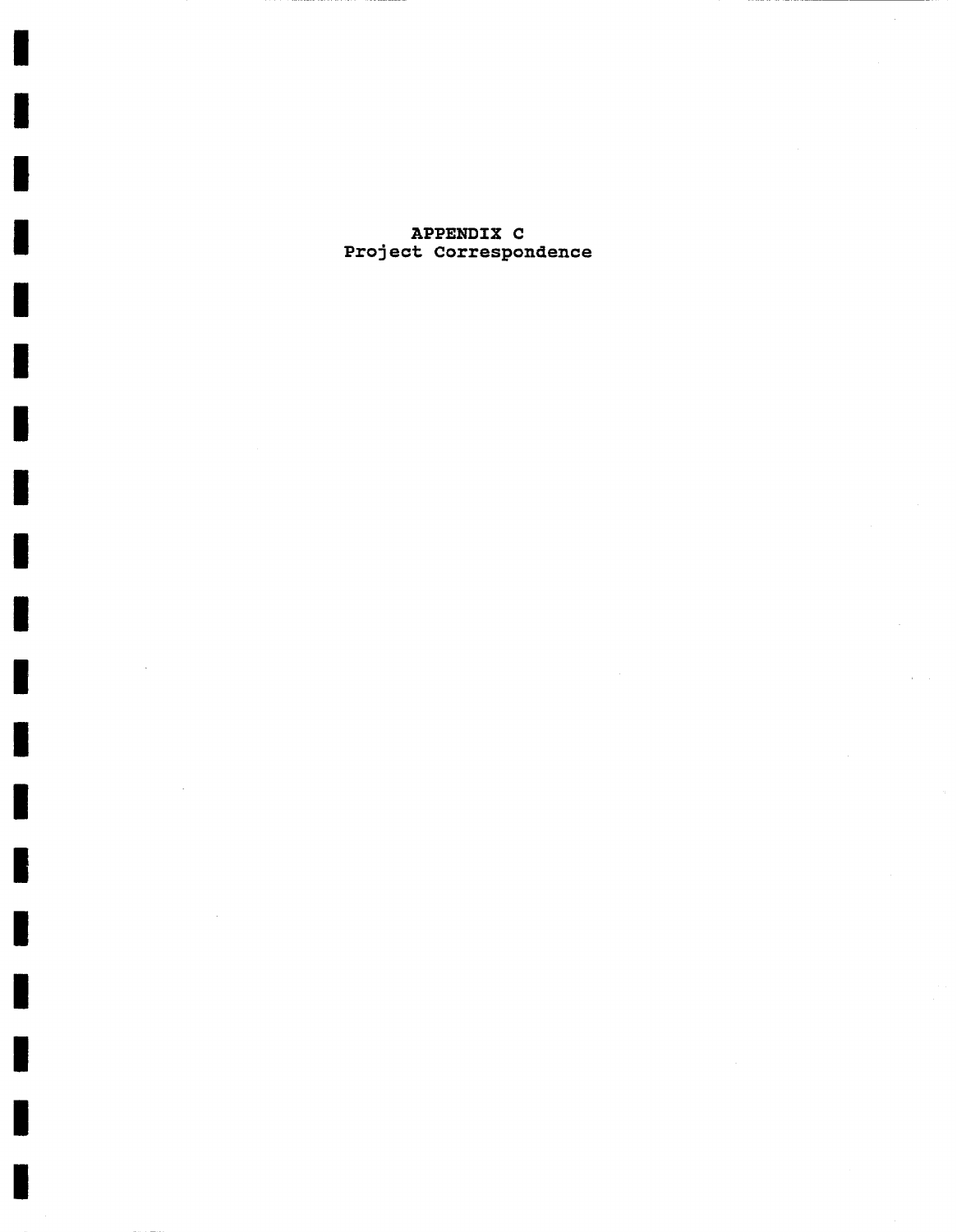#### **APPENDIX C**  Project Correspondence

 $\overline{\phantom{a}}$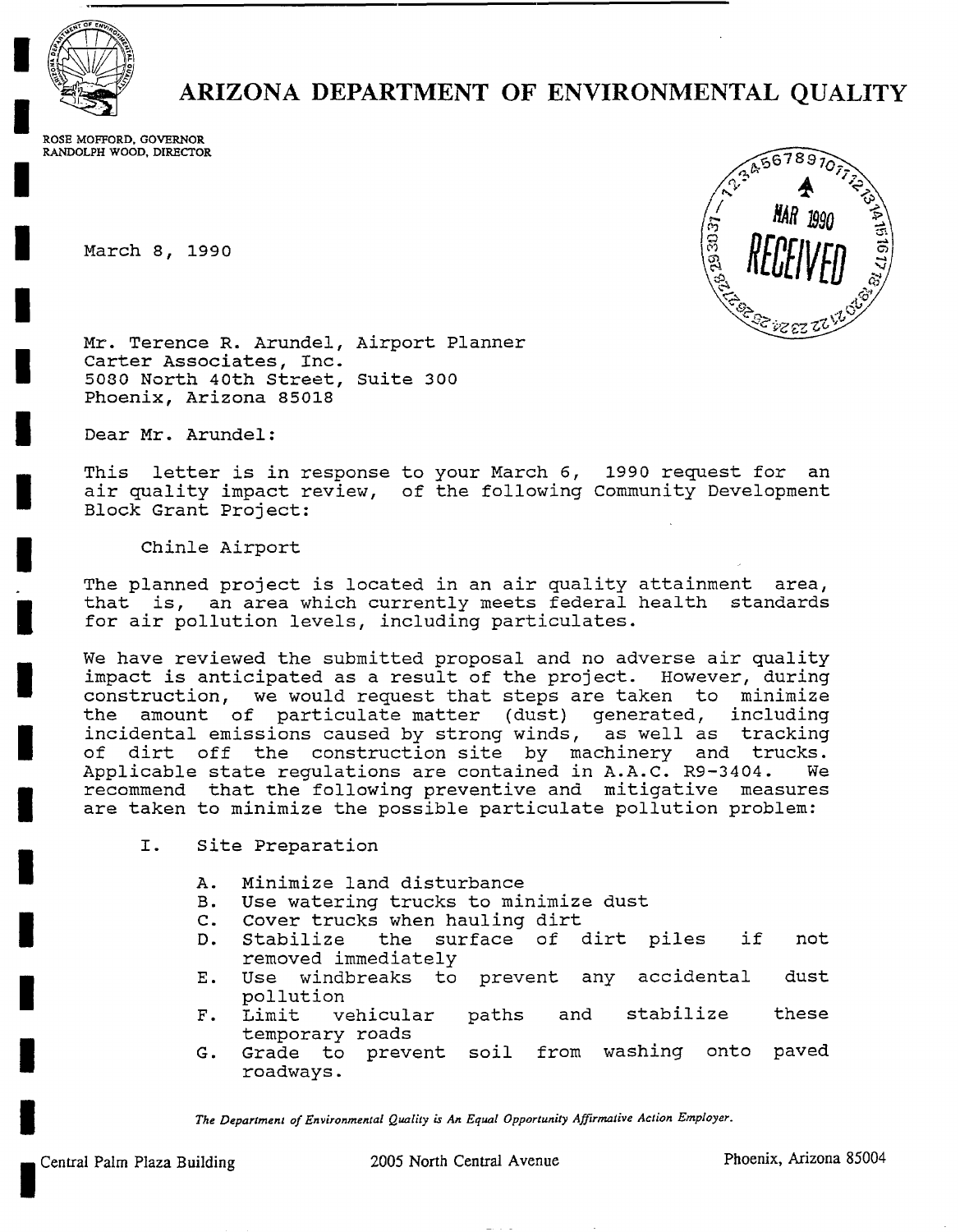

**I** 

**l** 

**!** 

**I** 

**I** 

**I** 

**I** 

**I** 

**I** 

**I** 

## **,6 ARIZONA DEPARTMENT OF ENVIRONMENTAL QUALITY**

ROSE MOFFORD, GOVERNOR RANDOLPH WOOD, DIRECTOR

March 8, 1990



Mr. Terence R. Arundel, Airport Planner Carter Associates, Inc. 5080 North 40th Street, Suite 300 Phoenix, Arizona 85018

Dear Mr. Arundel:

This letter is in response to your March 6, 1990 request for an air quality impact review, of the following Community Development Block Grant Project:

Chinle Airport

The planned project is located in an air quality attainment area, that is, an area which currently meets federal health standards for air pollution levels, including particulates.

We have reviewed the submitted proposal and no adverse air quality impact is anticipated as a result of the project. However, during construction, we would request that steps are taken to minimize the amount of particulate matter (dust) generated, including incidental emissions caused by strong winds, as well as tracking of dirt off the construction site by machinery and trucks. Applicable state regulations are contained in A.A.C. R9-3404. We recommend that the following preventive and mitigative measures are taken to minimize the possible particulate pollution problem:

- I. Site Preparation
	- A. Minimize land disturbance
	- B. Use watering trucks to minimize dust
	- C. Cover trucks when hauling dirt
	- D. Stabilize the surface of dirt piles if not removed immediately
	- E. Use windbreaks to prevent any accidental dust pollution
	- F. Limit vehicular temporary roads paths and stabilize these
	- G. Grade to prevent roadways. from washing onto paved

*I The Department of Environmental Quality is An Equal Opportunity Affirmative Action Employer.* 

Central Palm Plaza Building 2005 North Central Avenue Phoenix, Arizona 85004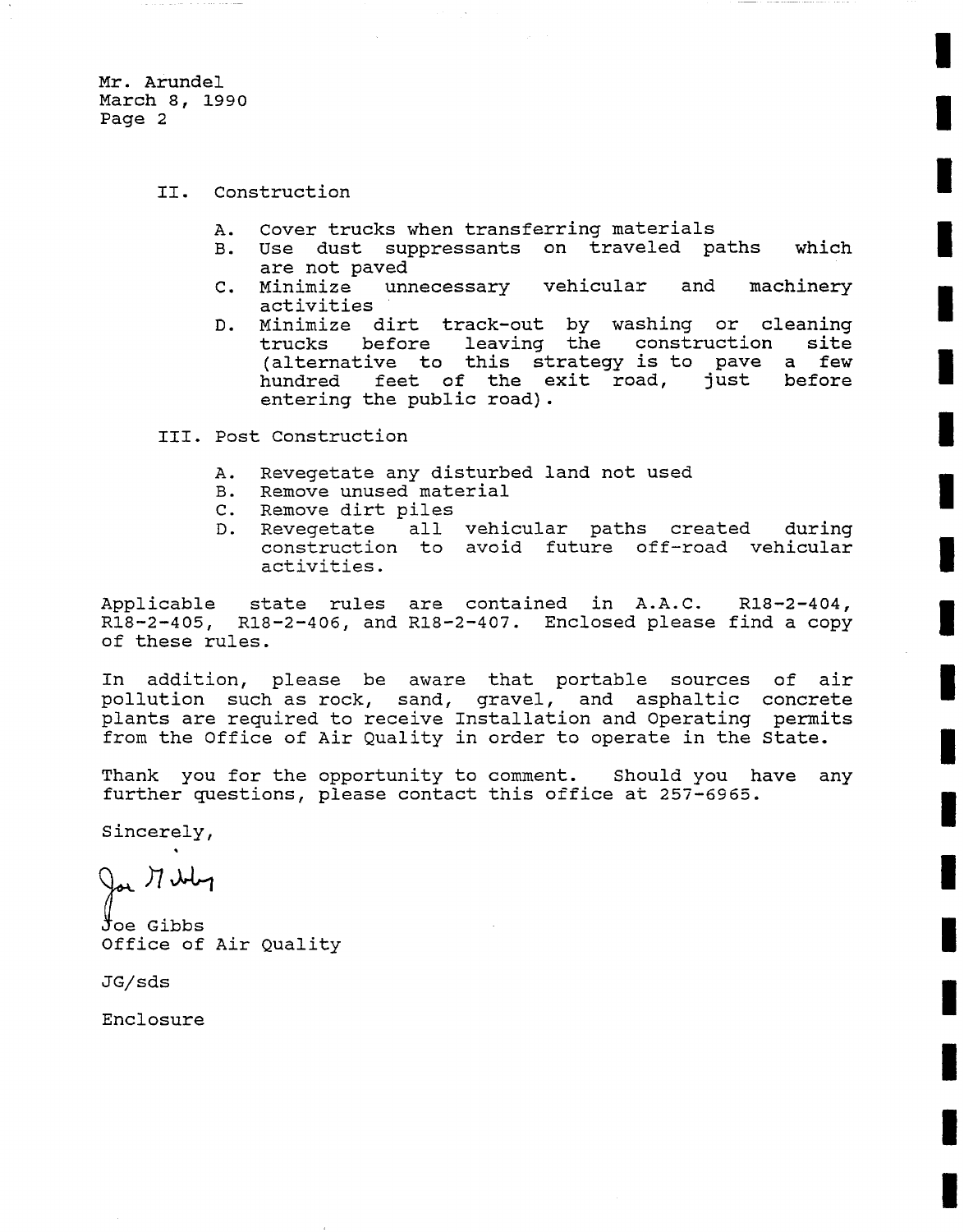Mr. Arundel March 8, 1990 Page 2

- II. Construction
	- A. Cover trucks when transferring materials
	- B. Use dust suppressants on traveled paths which are not paved
	- C. Minimize unnecessary vehicular and machinery activities
	- D. Minimize dirt track-out by washing or cleaning trucks before leaving the construction site (alternative to this strategy is to pave a few hundred feet of the exit road, just before entering the public road).

III. Post Construction

- A. Revegetate any disturbed land not used
- B. Remove unused material
- C. Remove dirt piles
- D. Revegetate all vehicular paths created during construction to avoid future off-road vehicular activities.

Applicable state rules are contained in A.A.C. R18-2-404, R18-2-405, R18-2-406, and R18-2-407. Enclosed please find a copy of these rules.

In addition, please be aware that portable sources of air pollution such as rock, sand, gravel, and asphaltic concrete plants are required to receive Installation and Operating permits from the Office of Air Quality in order to operate in the State.

Thank you for the opportunity to comment. Should you have any further questions, please contact this office at 257-6965.

Sincerely,

or 77 wh

Joe Gibbs Office of Air Quality

JG/sds

Enclosure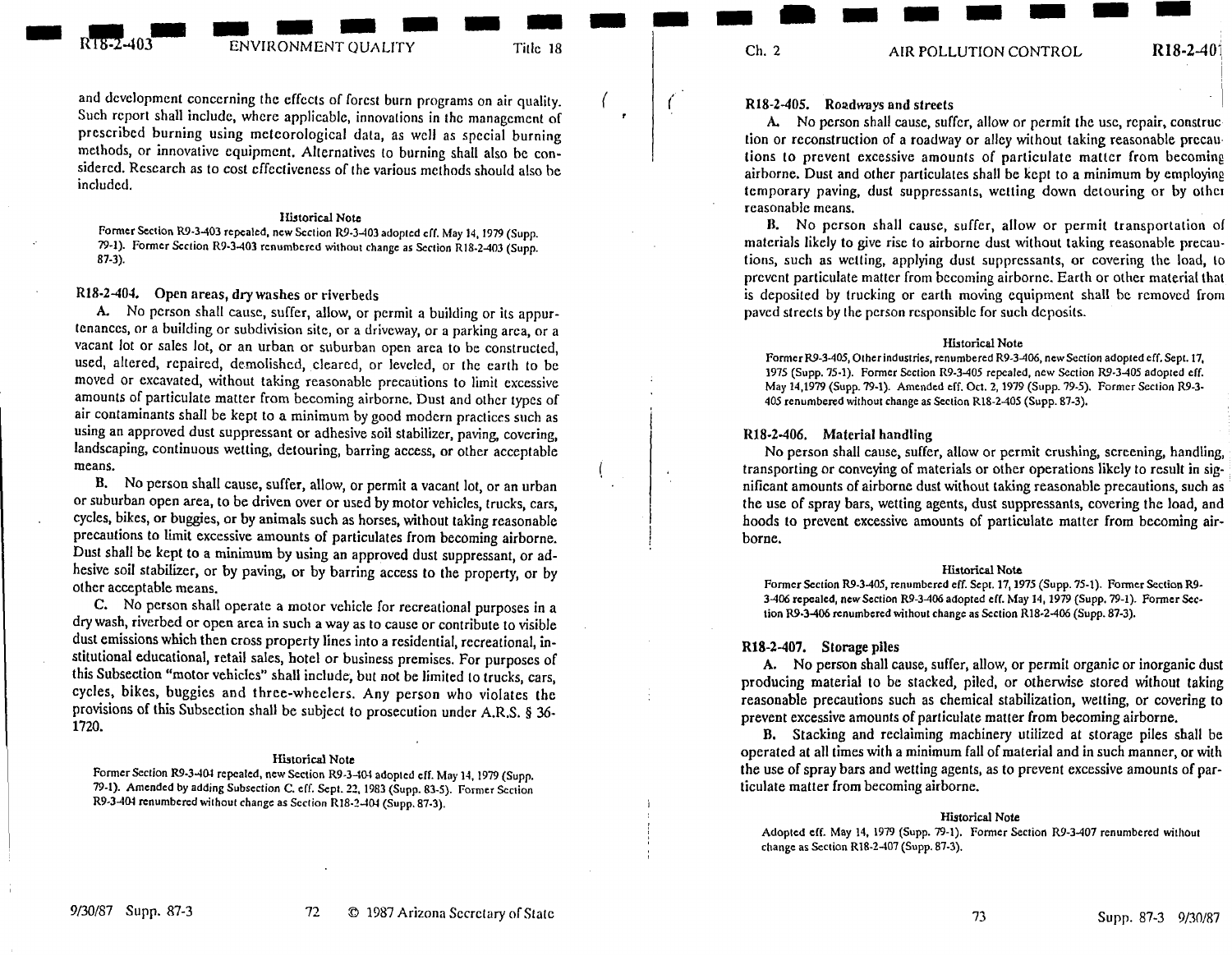**(**  T **m** 

Ch. 2 **AIR POLLUTION CONTROL R18-2-40** 

#### **R18-2-405. Roadways** and streets

A. No person shall cause, suffer, allow or permit the use, repair, construe tion or reconstruction of a roadway or alley without taking reasonable precau tions to prevent excessive amounts of particulate matter from becoming airborne. Dust and other particulates shall be kept to a minimum by employing temporary paving, dust suppressants, wetting down detouring or by other reasonable means.

B. No person shall cause, suffer, allow or permit transportation of materials likely to give rise to airborne dust without taking reasonable precautions, such as wetting, applying dust suppressants, or covering the load, to prevent particulate matter from becoming airborne. Earth or other material that is deposited by trucking or earth moving equipment shall be removed from paved streets by the person responsible for such deposits.

#### **Historical Note**

Former R9-3-405, Other industries, renumbered R9-3-406, new Section adopted elf. Sept. 17, 1975 (Supp. 75-1). Former Section R9-3-405 repealed, new Section R9-3-405 adopted elf. May 14,1979 (Supp. 79-1). Amended eff. Oct. 2, 1979 (Supp. 79-5). Former Section R9-3-405 renumbered without change as Section R18-2-405 (Supp. 87-3).

#### **R18-2-406.** Material handling

No person shall cause, suffer, allow or permit crushing, screening, handling, transporting or conveying of materials or other operations likely to result in significant amounts of airborne dust without taking reasonable precautions, such as the use of spray bars, wetting agents, dust suppressants, covering the load, and hoods to prevent excessive amounts of particulate matter from becoming airborne.

#### **Historical Note**

Former Section R9-3-405, renumbered elf. Sept. 17~ 1975 (Supp. 75-1). Former Section R9- 3-406 repealed, new Section R9-3-406 adopted eff. May 14, 1979 (Supp. 79-1). Former Section R9-3-406 renumbered without change as Section R18-2-406 (Supp. 87-3).

#### **R18-2..407. Storage plies**

A. No person shall cause, suffer, allow, or permit organic or inorganic dust producing material to be stacked, piled, or otherwise stored without taking reasonable precautions such as chemical stabilization, wetting, or covering to prevent excessive amounts of particulate matter from becoming airborne.

B. Stacking and reclaiming machinery utilized at storage piles shall be operated at all times with a minimum fall of material and in such manner, or with the use of spray bars and wetting agents, as to prevent excessive amounts of particulate matter from becoming airborne.

#### Historical Note

Adopted elf. May 14, 1979 (Supp. 79-1). Former Section R9-3-407 renumbered without change as Section R18-2-407 (Supp. 87-3).

and development concerning the effects of forest burn programs on air quality. Such report shall include, where applicable, innovations in the management of prescribed burning using meteorological data, as well as special burning methods, or innovative equipment. Alternatives to burning shall also be considered. Research as to cost effectiveness of the various methods should also be included.

#### **Historical Note**

Former Section R9.3403 repealed, new Section R9-3-403 adopted elf. May 14, 1979 (Supp. 79-1). Former Section R9-3-403 renumbered without change as Section R18-2-403 (Supp. 87-3).

#### R18-2-404, Open areas, drywashes or riverheds

A. No person shall cause, suffer, allow, or permit a building or its appurtenances, or a building or subdivision site, or a driveway, or a parking area, or a vacant lot or sales lot, or an urban or suburban open area to be constructed, used, altered, repaired, demolished, cleared, or leveled, or the earth to be moved or excavated, without taking reasonable precautions to limit excessive amounts of particulate matter from becoming airborne. Dust and other types of air contaminants shall be kept to a minimum by good modern practices such as using an approved dust suppressant or adhesive soil stabilizer, paving, covering, landscaping, continuous wetting, detouring, barring access, or other acceptable means.

B. No person shall cause, suffer, allow, or permit a vacant lot, or an urban or suburban open area, to be driven over or used by motor vehicles, trucks, ears, cycles, bikes, or buggies, or by animals such as horses, without taking reasonable precautions to limit excessive amounts of particulates from becoming airborne. Dust shall be kept to a minimum by using an approved dust suppressant, or adhesive soil stabilizer, or by paving, or by barring access to the property, or by other acceptable means.

C. No person shall operate a motor vehicle for recreational purposes in a dry wash, riverbed or open area in such a way as to cause or contribute to visible dust emissions which then cross property lines into a residential, recreational, institutional educational, retail sales, hotel or business premises. For purposes of this Subsection "motor vehicles" shall include; but not be limited to trucks, cars, cycles, bikes, buggies and three-wheelers. Any person who violates the provisions of this Subsection shall be subject to prosecution under A.R.S. § 36- 1720.

#### Historical Note

Former Section R9.3.404 repealed, new Section R9-3-404 adopted elf. May 14, 1979 (Supp. 79-1). Amended by adding Subsection C. elf. Sept. 22, 1983 (Supp. 83-5). Former Section R9-3-404 renumbered without change as Section R18-2-404 (Supp. 87-3).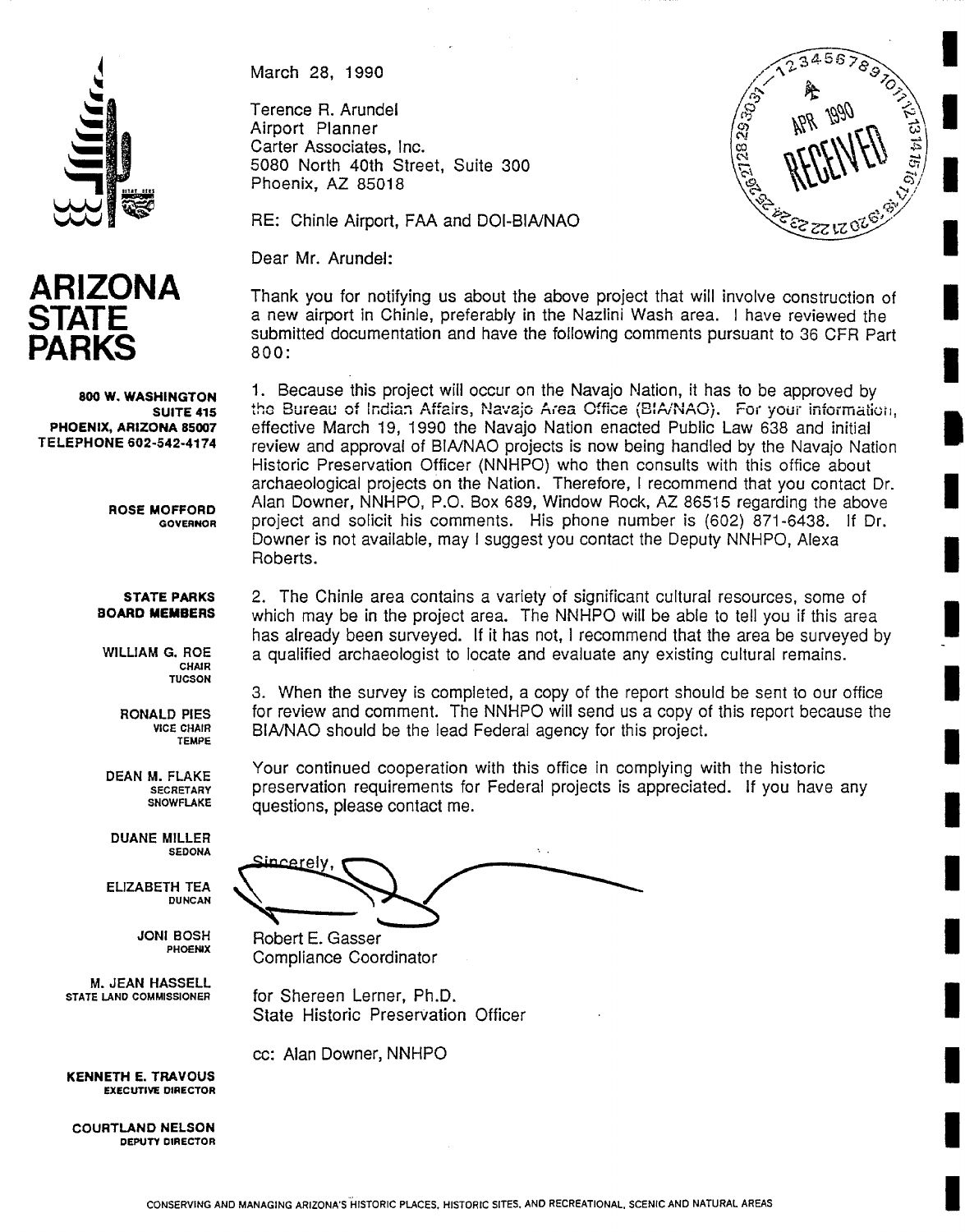



**!** 

**I** 

**.'** 



**800 W. WASHINGTON SUITE 415 PHOENIX, ARIZONA 85007 TELEPHONE 602-542-4174** 

> **ROSE MOFFORD GOVERNOR**

#### **STATE PARKS BOARD MEMBERS**

WILLIAM G. ROE CHAIR **TUCSON** 

> RONALD PIES VICE CHAIR TEMPE

DEAN M. FLAKE **SECRETARY** SNOWFLAKE

DUANE MILLER **SEDONA** 

ELIZABETH TEA **DUNCAN** 

> **JONI** BOSH PHOENIX

**M, JEAN** HASSELL STATE LAND COMMISSIONER

**KENNETH E.** TRAVOUS EXECUTIVE **DIRECTOR** 

COURTLAND **NELSON**  DEPUTY DIRECTOR March 28, 1990

Terence R. Arundel Airport Planner Carter Associates, Inc. 5080 North 40th Street, Suite 300 Phoenix, AZ 85018

RE: Chinle Airport, FAA and DOI-BIA/NAO

Dear Mr. Arundel:

Thank you for notifying us about the above project that will involve construction of a new airport in Chinle, preferably in the Nazlini Wash area. I have reviewed the submitted documentation and have the following comments pursuant to 36 CFR Part 800"

1. Because this project will occur on the Navajo Nation, it has to be approved by 1. Because this project will occur on the riavajo Hallon, it has to be approved by<br>the Bureau of Indian Affairs, Navajo Area Office (BIANAO). For your information, effective March 19, 1990 the Navajo Nation enacted Public Law 638 and initial review and approval of BIA/NAO projects is now being handled by the Navajo Nation Historic Preservation Officer (NNHPO) who then consults with this office about archaeological projects on the Nation. Therefore, I recommend that you contact Dr. Alan Downer, NNHPO, P.O. Box 689, Window Rock, AZ 86515 regarding the above project and solicit his comments. His phone number is (602) 871-6438. If Dr. Downer is not available, may 1 suggest you contact the Deputy NNHPO, Alexa Roberts.

2. The Chinle area contains a variety of significant cultural resources, some of which may be in the project area. The NNHPO will be able to tell you if this area has already been surveyed. If it has not, I recommend that the area be surveyed by a qualified archaeologist to locate and evaluate any existing cultural remains.

3. When the survey is completed, a copy of the report should be sent to our office for review and comment. The NNHPO will send us a copy of this report because the BIA/NAO should be the lead Federal agency for this project.

Your continued cooperation with this office in complying with the historic preservation requirements for Federal projects is appreciated. If you have any questions, please contact me.

Sincerelv

Robert E. Gasser Compliance Coordinator

for Shereen Lerner, Ph.D. State Historic Preservation Officer

cc: Alan Downer, NNHPO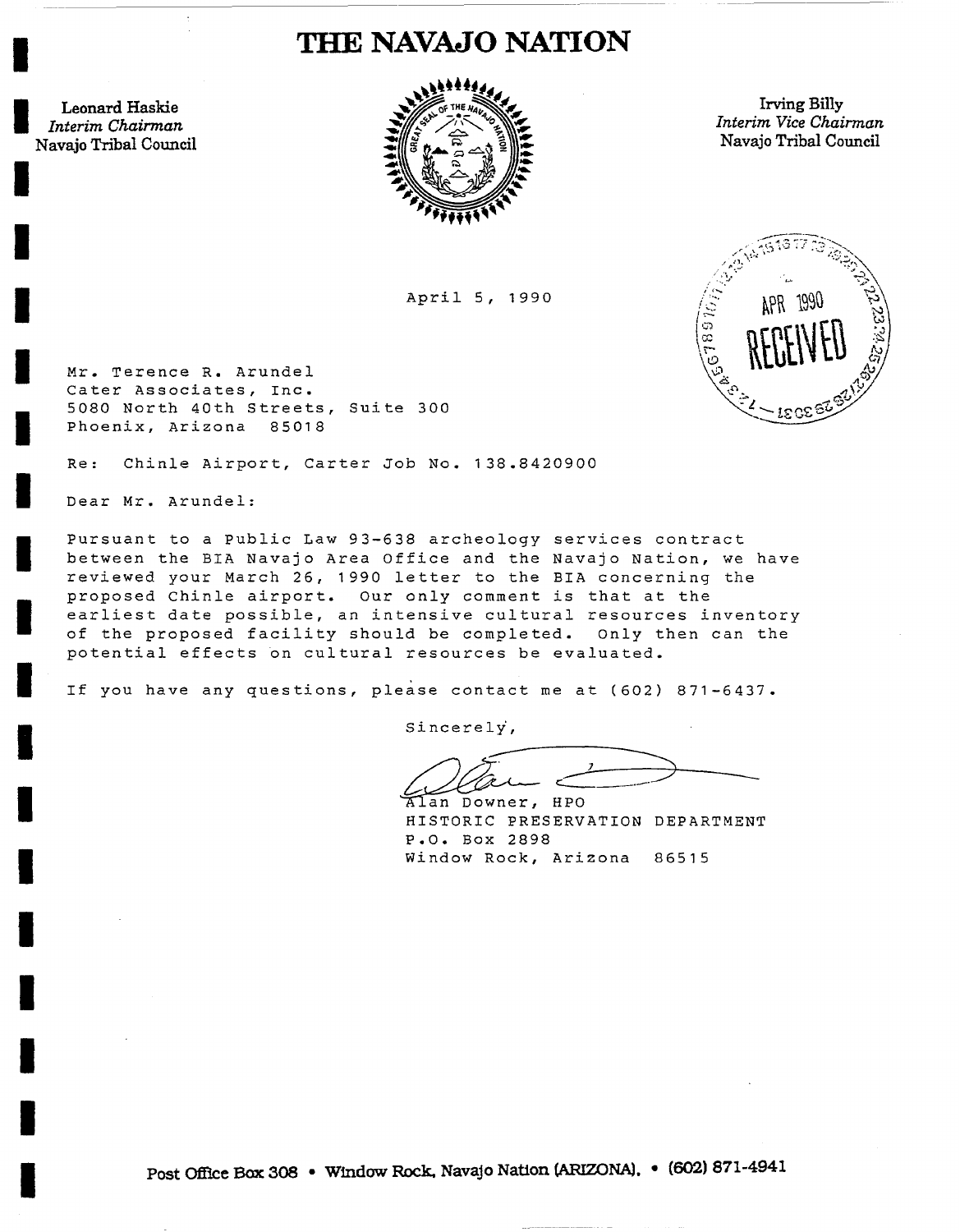## **THE NAVAJO NATION**

Interim Chairman

ID

**!** 

**!** 

**!** 

**!** 



*~ -,',< ~ ~" Interim Vice Chairman* 

*April 5, 1990*  $\begin{pmatrix} 0 & 0 \\ 0 & 0 \\ 0 & 0 \\ 0 & 0 \end{pmatrix}$ 



Mr. Terence R. Arundel Cater Associates, Inc. 5080 North 40th Streets, Suite 300 Phoenix, Arizona 85018

Re: Chinle Airport, Carter Job No. 138.8420900

Dear Mr. Arundel:

l Pursuant to a Public Law 93-638 archeology services contract between the BIA Navajo Area Office and the Navajo Nation, we have reviewed your March 26, 1990 letter to the BIA concerning the proposed Chinle airport. Our only comment is that at the earliest date possible, an intensive cultural resources inventory of the proposed facility should be completed. Only then can the potential effects on cultural resources be evaluated.

If you have any questions, please contact me at (602) 871-6437.

Sincerely,

**l** er, HPO HISTORIC PRESERVATION DEPARTMENT P.O. Box 2898 Window Rock, Arizona 86515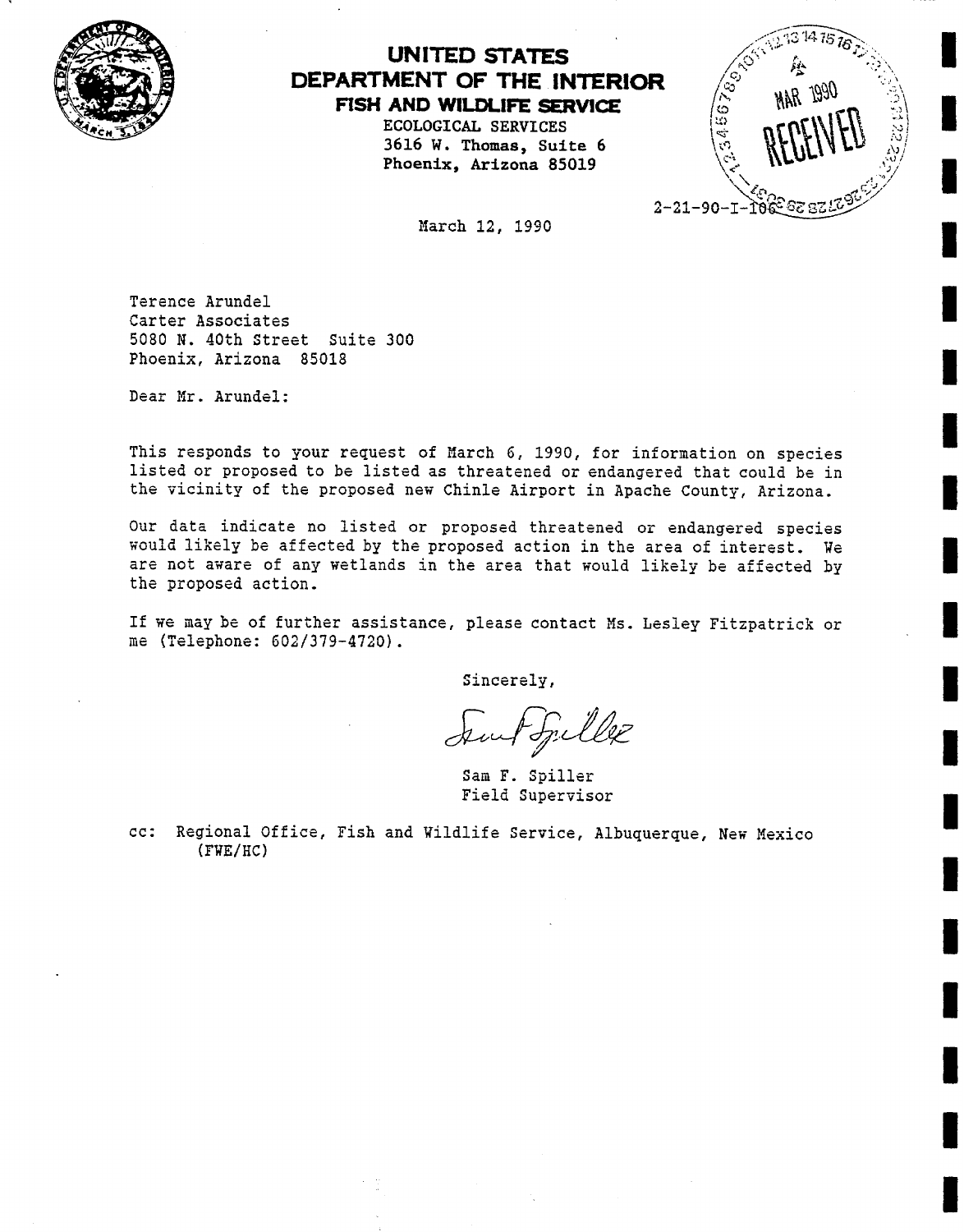

### **UNITED STATES DEPARTMENT OF THE INTERIOR FISH AND WILDLIFE SERVICE**

**ECOLOGICAL SERVICES**   $3616$  W. Thomas, Suite  $6$ Phoenix, Arizona 85019

 $\sqrt{345676_9}$  $\sim$ , .;.i J, I  $\bigvee \mathbb{Z}_p$  , and  $\bigvee \mathbb{Z}_p$  $2 - 21 - 90 - I - I0$ 

March 12, 1990

Terence Arundel Carter Associates 5080 N. 40th Street Suite 300 Phoenix, Arizona 85018

Dear Nr. Arundel:

This responds to your request of March 6, 1990, for information on species listed or proposed to be listed as threatened or endangered that could be in the vicinity of the proposed new Chinle Airport in Apache County, Arizona.

Our data indicate no listed or proposed threatened or endangered species would likely be affected by the proposed action in the area of interest. We are not aware of any wetlands in the area that would likely be affected by the proposed action.

If we may be of further assistance, please contact Ms. Lesley Fitzpatrick or me (Telephone: 602/379-4720).

Sincerely,

Sam F. Spiller Field Supervisor

cc: Regional Office, Fish and Wildlife Service, Albuquerque, New Mexico (FWE/HC)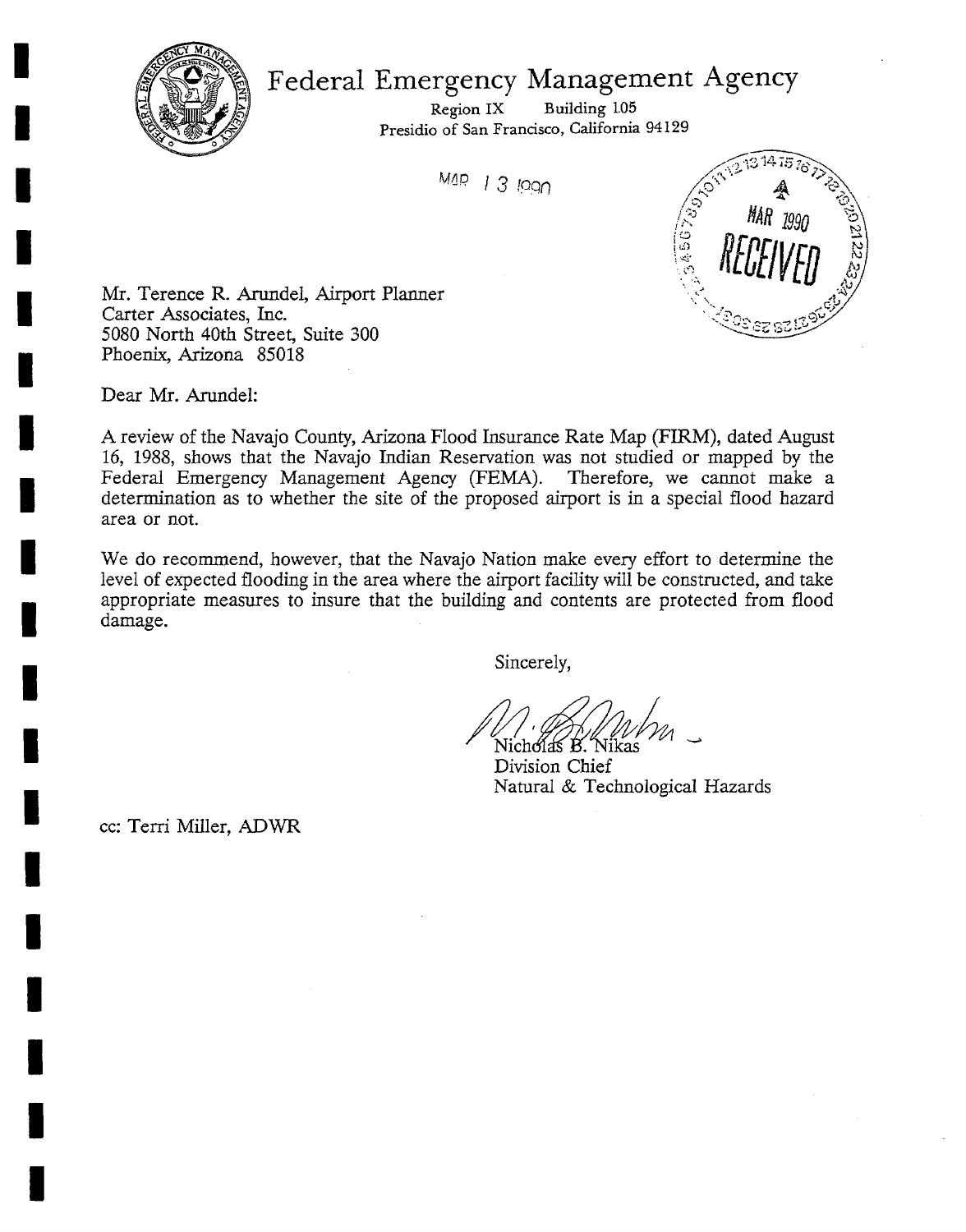

**I** 

**I** 

**I** 

**I** 

**I** 

**I** 

**I** 

**!** 

**I** 

**I** 

**I** 

**I** 

**I** 

**I** 

**I** 

**I** 

**Federal Emergency Management Agency** 

Region IX Building 1.05 Presidio of San Francisco, California 94129

MAR 1 3 1990



Mr. Terence R. Arundel, Airport Planner Carter Associates, Inc. 5080 North 40th Street, Suite 300 Phoenix, Arizona 85018

Dear Mr. Arundel:

A review of the Navajo County, Arizona Flood Insurance Rate Map (FIRM), dated August 16, 1988, shows that the Navajo Indian Reservation was not studied or mapped by the Federal Emergency Management Agency (FEMA). Therefore, we cannot make a determination as to whether the site of the proposed airport is in a special flood hazard area or not.

We do recommend, however, that the Navajo Nation make every effort to determine the level of expected flooding in the area where the airport facility will be constructed, and take appropriate measures to insure that the building and contents are protected from flood damage.

Sincerely,

Nichólas B.

Division Chief Natural & Technological Hazards

**I** cc: Terri Miller, ADWR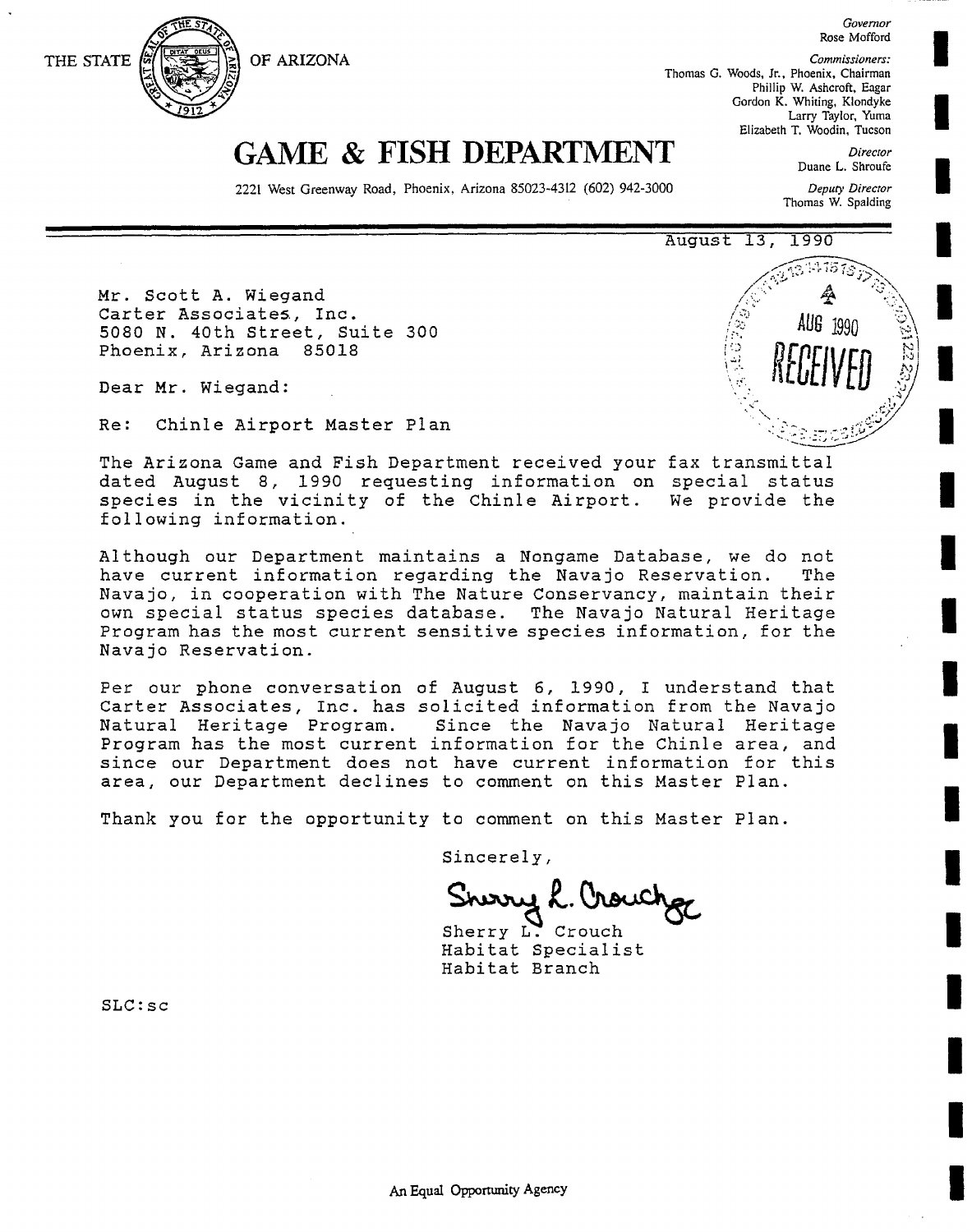THE STATE OF ARIZONA *Commissioners:* 

*Governor*  Rose Mofford

# **GAME & FISH DEPARTMENT** *Director Director Director*

2221 West Greenway Road, Phoenix, Arizona 85023-4312 (602) 942-3000 *Deputy Director* 

Elizabeth T. Woodin, Tucson

Phillip W. Ashcroft, Eagar Gordon K. Whiting, Klondyke Larry Taylor, Yuma

Thomas W. Spalding

-.--2>..\_

**,** 

August 13, 1990

Thomas G. Woods, Jr., Phoenix, Chairman

Mr. Scott A. Wiegand Carter Associates, Inc. 5080 N. 40th Street, Suite 300 Phoenix, Arizona 85018

Dear Mr. Wiegand:

Re: Chinle Airport Master Plan

The Arizona Game and Fish Department received your fax transmittal dated August 8, 1990 requesting information on special status species in the vicinity of the Chinle Airport. We provide the following information.

Although our Department maintains a Nongame Database, we do not have current information regarding the Navajo Reservation. The Navajo, in cooperation with The Nature Conservancy, maintain their own special status species database. The Navajo Natural Heritage Program has the most current sensitive species information, for the Navajo Reservation.

Per our phone conversation of August 6, 1990, I understand that Carter Associates, Inc. has solicited information from the Navajo Natural Heritage Program. Since the Navajo Natural Heritage Program has the most current information for the Chinle area, and since our Department does not have current information for this area, our Department declines to comment on this Master Plan.

Thank you for the opportunity to comment on this Master Plan.

Sincerely,

Sherry L. Crouch

Sherry L. Crouch Habitat Specialist Habitat Branch

SLC:sc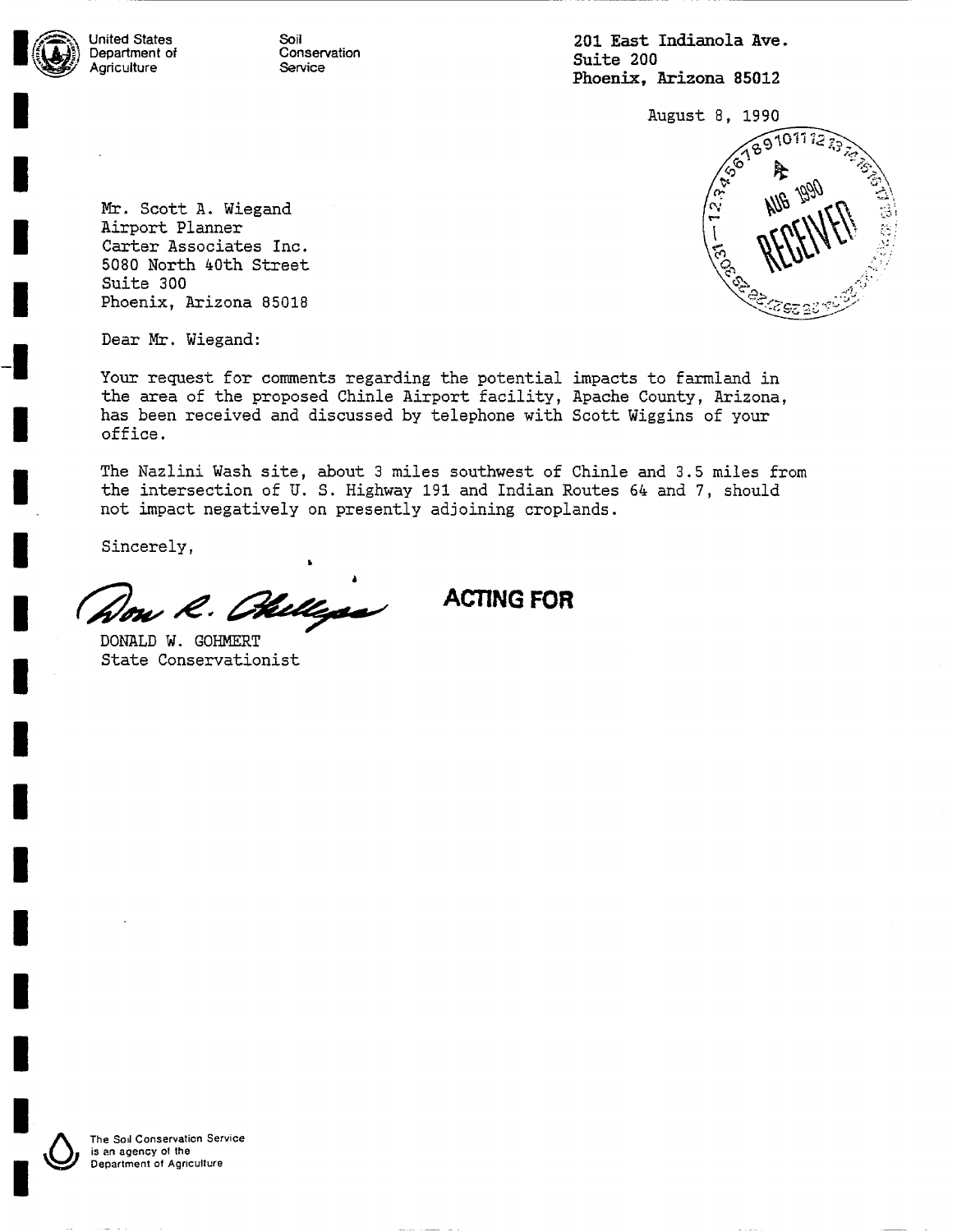United States Soil 301 East Indianola Ave.<br>
Department of Conservation Service Service Phoenix, Arizona 85012

Rugust 8, 1990

٠Q, Ġ,

Mr. Scott A. Wiegand I Airport Planner Carter Associates Inc.  $5080$  North  $40th$  Street<br>Suite  $300$ I Suite 300 .)., ~ .: ~.Z ?~;;: .~;,i~i/~ Phoenix, Arizona 85018

Dear Mr. Wiegand:

Your request for comments regarding the potential impacts to farmland in the area of the proposed Chinle Airport facility, Apache County, Arizona, has been received and discussed by telephone with Scott Wiggins of your office.

The Nazlini Wash site, about 3 miles southwest of Chinle and 3.5 miles from the intersection of U. S. Highway 191 and Indian Routes 6% and 7, should not impact negatively on presently adjoining croplands.

Sincerely,

**I** 

**I** 

**I** 

**I** 

**I** 

How R. Phillips

DONALD W. GOHMERT State Conservationist

**ACTING FOR**